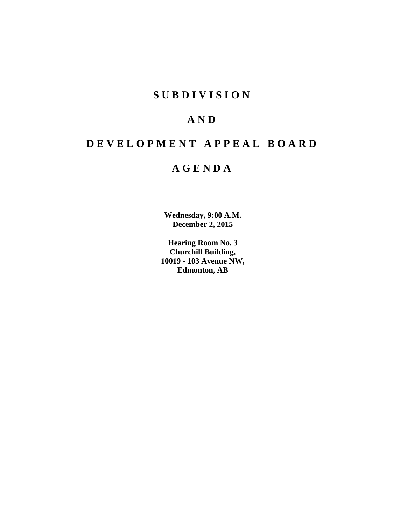# **SUBDIVISION**

# **AND**

# **DEVELOPMENT APPEAL BOARD**

# **AGENDA**

**Wednesday, 9:00 A.M. December 2, 2015**

**Hearing Room No. 3 Churchill Building, 10019 - 103 Avenue NW, Edmonton, AB**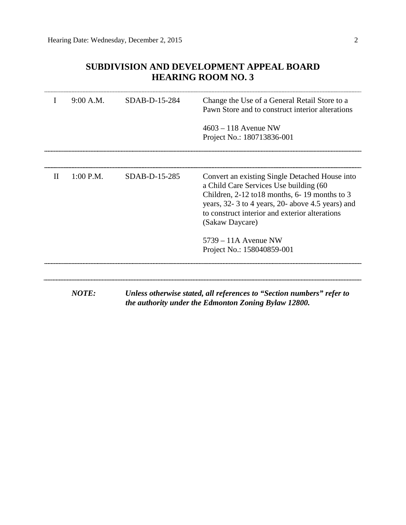## **SUBDIVISION AND DEVELOPMENT APPEAL BOARD HEARING ROOM NO. 3**

| I | 9:00 A.M.    | SDAB-D-15-284 | Change the Use of a General Retail Store to a<br>Pawn Store and to construct interior alterations                                                                                                                                                                    |
|---|--------------|---------------|----------------------------------------------------------------------------------------------------------------------------------------------------------------------------------------------------------------------------------------------------------------------|
|   |              |               | $4603 - 118$ Avenue NW                                                                                                                                                                                                                                               |
|   |              |               | Project No.: 180713836-001                                                                                                                                                                                                                                           |
|   |              |               |                                                                                                                                                                                                                                                                      |
| П | $1:00$ P.M.  | SDAB-D-15-285 | Convert an existing Single Detached House into<br>a Child Care Services Use building (60<br>Children, $2-12$ to 18 months, 6-19 months to 3<br>years, 32-3 to 4 years, 20- above 4.5 years) and<br>to construct interior and exterior alterations<br>(Sakaw Daycare) |
|   |              |               | $5739 - 11A$ Avenue NW                                                                                                                                                                                                                                               |
|   |              |               | Project No.: 158040859-001                                                                                                                                                                                                                                           |
|   |              |               |                                                                                                                                                                                                                                                                      |
|   | <b>NOTE:</b> |               | Unless otherwise stated, all references to "Section numbers" refer to<br>the authority under the Edmonton Zoning Bylaw 12800.                                                                                                                                        |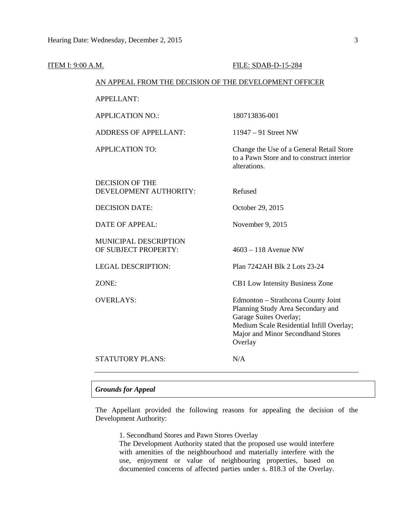| ITEM I: 9:00 A.M. |                                                        | FILE: SDAB-D-15-284                                                                                                                                                                           |
|-------------------|--------------------------------------------------------|-----------------------------------------------------------------------------------------------------------------------------------------------------------------------------------------------|
|                   | AN APPEAL FROM THE DECISION OF THE DEVELOPMENT OFFICER |                                                                                                                                                                                               |
|                   | <b>APPELLANT:</b>                                      |                                                                                                                                                                                               |
|                   | <b>APPLICATION NO.:</b>                                | 180713836-001                                                                                                                                                                                 |
|                   | <b>ADDRESS OF APPELLANT:</b>                           | $11947 - 91$ Street NW                                                                                                                                                                        |
|                   | <b>APPLICATION TO:</b>                                 | Change the Use of a General Retail Store<br>to a Pawn Store and to construct interior<br>alterations.                                                                                         |
|                   | <b>DECISION OF THE</b><br>DEVELOPMENT AUTHORITY:       | Refused                                                                                                                                                                                       |
|                   | <b>DECISION DATE:</b>                                  | October 29, 2015                                                                                                                                                                              |
|                   | <b>DATE OF APPEAL:</b>                                 | November 9, 2015                                                                                                                                                                              |
|                   | <b>MUNICIPAL DESCRIPTION</b><br>OF SUBJECT PROPERTY:   | $4603 - 118$ Avenue NW                                                                                                                                                                        |
|                   | <b>LEGAL DESCRIPTION:</b>                              | Plan 7242AH Blk 2 Lots 23-24                                                                                                                                                                  |
|                   | ZONE:                                                  | CB1 Low Intensity Business Zone                                                                                                                                                               |
|                   | <b>OVERLAYS:</b>                                       | Edmonton - Strathcona County Joint<br>Planning Study Area Secondary and<br>Garage Suites Overlay;<br>Medium Scale Residential Infill Overlay;<br>Major and Minor Secondhand Stores<br>Overlay |
|                   | <b>STATUTORY PLANS:</b>                                | N/A                                                                                                                                                                                           |

## *Grounds for Appeal*

The Appellant provided the following reasons for appealing the decision of the Development Authority:

1. Secondhand Stores and Pawn Stores Overlay

The Development Authority stated that the proposed use would interfere with amenities of the neighbourhood and materially interfere with the use, enjoyment or value of neighbouring properties, based on documented concerns of affected parties under s. 818.3 of the Overlay.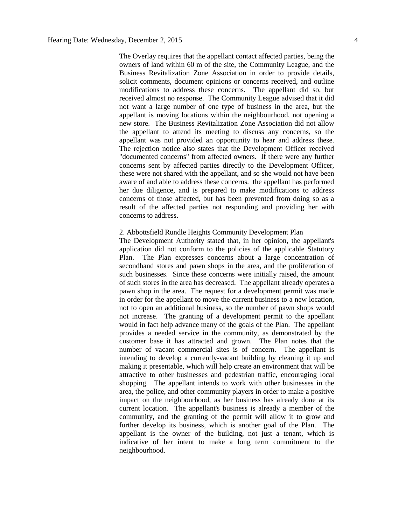The Overlay requires that the appellant contact affected parties, being the owners of land within 60 m of the site, the Community League, and the Business Revitalization Zone Association in order to provide details, solicit comments, document opinions or concerns received, and outline modifications to address these concerns. The appellant did so, but received almost no response. The Community League advised that it did not want a large number of one type of business in the area, but the appellant is moving locations within the neighbourhood, not opening a new store. The Business Revitalization Zone Association did not allow the appellant to attend its meeting to discuss any concerns, so the appellant was not provided an opportunity to hear and address these. The rejection notice also states that the Development Officer received "documented concerns" from affected owners. If there were any further concerns sent by affected parties directly to the Development Officer, these were not shared with the appellant, and so she would not have been aware of and able to address these concerns. the appellant has performed her due diligence, and is prepared to make modifications to address concerns of those affected, but has been prevented from doing so as a result of the affected parties not responding and providing her with concerns to address.

#### 2. Abbottsfield Rundle Heights Community Development Plan

The Development Authority stated that, in her opinion, the appellant's application did not conform to the policies of the applicable Statutory Plan. The Plan expresses concerns about a large concentration of secondhand stores and pawn shops in the area, and the proliferation of such businesses. Since these concerns were initially raised, the amount of such stores in the area has decreased. The appellant already operates a pawn shop in the area. The request for a development permit was made in order for the appellant to move the current business to a new location, not to open an additional business, so the number of pawn shops would not increase. The granting of a development permit to the appellant would in fact help advance many of the goals of the Plan. The appellant provides a needed service in the community, as demonstrated by the customer base it has attracted and grown. The Plan notes that the number of vacant commercial sites is of concern. The appellant is intending to develop a currently-vacant building by cleaning it up and making it presentable, which will help create an environment that will be attractive to other businesses and pedestrian traffic, encouraging local shopping. The appellant intends to work with other businesses in the area, the police, and other community players in order to make a positive impact on the neighbourhood, as her business has already done at its current location. The appellant's business is already a member of the community, and the granting of the permit will allow it to grow and further develop its business, which is another goal of the Plan. The appellant is the owner of the building, not just a tenant, which is indicative of her intent to make a long term commitment to the neighbourhood.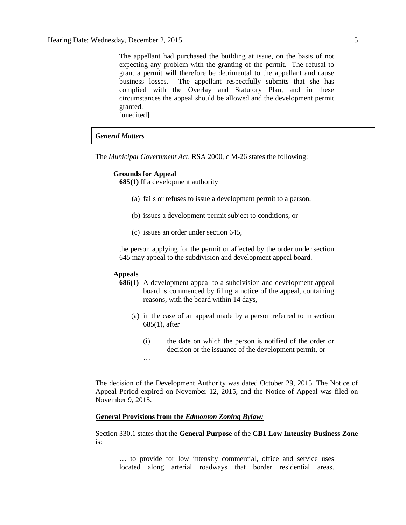The appellant had purchased the building at issue, on the basis of not expecting any problem with the granting of the permit. The refusal to grant a permit will therefore be detrimental to the appellant and cause business losses. The appellant respectfully submits that she has complied with the Overlay and Statutory Plan, and in these circumstances the appeal should be allowed and the development permit granted. [unedited]

## *General Matters*

The *Municipal Government Act*, RSA 2000, c M-26 states the following:

## **Grounds for Appeal**

**685(1)** If a development authority

- (a) fails or refuses to issue a development permit to a person,
- (b) issues a development permit subject to conditions, or
- (c) issues an order under section 645,

the person applying for the permit or affected by the order under section 645 may appeal to the subdivision and development appeal board.

## **Appeals**

…

- **686(1)** A development appeal to a subdivision and development appeal board is commenced by filing a notice of the appeal, containing reasons, with the board within 14 days,
	- (a) in the case of an appeal made by a person referred to in section 685(1), after
		- (i) the date on which the person is notified of the order or decision or the issuance of the development permit, or

The decision of the Development Authority was dated October 29, 2015. The Notice of Appeal Period expired on November 12, 2015, and the Notice of Appeal was filed on November 9, 2015.

#### **General Provisions from the** *Edmonton Zoning Bylaw:*

Section 330.1 states that the **General Purpose** of the **CB1 Low Intensity Business Zone** is:

… to provide for low intensity commercial, office and service uses located along arterial roadways that border residential areas.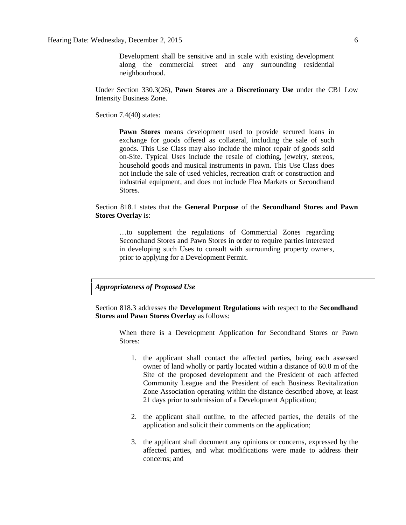Development shall be sensitive and in scale with existing development along the commercial street and any surrounding residential neighbourhood.

Under Section 330.3(26), **Pawn Stores** are a **Discretionary Use** under the CB1 Low Intensity Business Zone.

Section 7.4(40) states:

**Pawn Stores** means development used to provide secured loans in exchange for goods offered as collateral, including the sale of such goods. This Use Class may also include the minor repair of goods sold on-Site. Typical Uses include the resale of clothing, jewelry, stereos, household goods and musical instruments in pawn. This Use Class does not include the sale of used vehicles, recreation craft or construction and industrial equipment, and does not include Flea Markets or Secondhand Stores.

## Section 818.1 states that the **General Purpose** of the **Secondhand Stores and Pawn Stores Overlay** is:

…to supplement the regulations of Commercial Zones regarding Secondhand Stores and Pawn Stores in order to require parties interested in developing such Uses to consult with surrounding property owners, prior to applying for a Development Permit.

## *Appropriateness of Proposed Use*

Section 818.3 addresses the **Development Regulations** with respect to the **Secondhand Stores and Pawn Stores Overlay** as follows:

When there is a Development Application for Secondhand Stores or Pawn Stores:

- 1. the applicant shall contact the affected parties, being each assessed owner of land wholly or partly located within a distance of 60.0 m of the Site of the proposed development and the President of each affected Community League and the President of each Business Revitalization Zone Association operating within the distance described above, at least 21 days prior to submission of a Development Application;
- 2. the applicant shall outline, to the affected parties, the details of the application and solicit their comments on the application;
- 3. the applicant shall document any opinions or concerns, expressed by the affected parties, and what modifications were made to address their concerns; and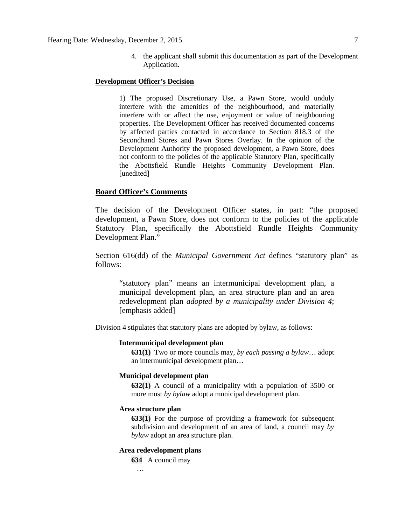4. the applicant shall submit this documentation as part of the Development Application.

## **Development Officer's Decision**

1) The proposed Discretionary Use, a Pawn Store, would unduly interfere with the amenities of the neighbourhood, and materially interfere with or affect the use, enjoyment or value of neighbouring properties. The Development Officer has received documented concerns by affected parties contacted in accordance to Section 818.3 of the Secondhand Stores and Pawn Stores Overlay. In the opinion of the Development Authority the proposed development, a Pawn Store, does not conform to the policies of the applicable Statutory Plan, specifically the Abottsfield Rundle Heights Community Development Plan. [unedited]

## **Board Officer's Comments**

The decision of the Development Officer states, in part: "the proposed development, a Pawn Store, does not conform to the policies of the applicable Statutory Plan, specifically the Abottsfield Rundle Heights Community Development Plan."

Section 616(dd) of the *Municipal Government Act* defines "statutory plan" as follows:

"statutory plan" means an intermunicipal development plan, a municipal development plan, an area structure plan and an area redevelopment plan *adopted by a municipality under Division 4*; [emphasis added]

Division 4 stipulates that statutory plans are adopted by bylaw, as follows:

## **Intermunicipal development plan**

**631(1)** Two or more councils may, *by each passing a bylaw*… adopt an intermunicipal development plan…

### **Municipal development plan**

**632(1)** A council of a municipality with a population of 3500 or more must *by bylaw* adopt a municipal development plan.

### **Area structure plan**

**633(1)** For the purpose of providing a framework for subsequent subdivision and development of an area of land, a council may *by bylaw* adopt an area structure plan.

## **Area redevelopment plans**

**634** A council may

#### …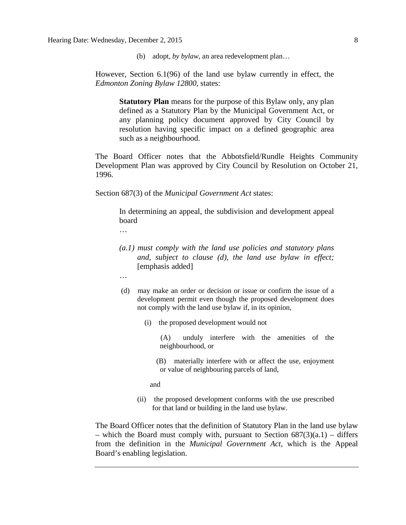(b) adopt, *by bylaw*, an area redevelopment plan…

However, Section 6.1(96) of the land use bylaw currently in effect, the *Edmonton Zoning Bylaw 12800*, states:

> **Statutory Plan** means for the purpose of this Bylaw only, any plan defined as a Statutory Plan by the Municipal Government Act, or any planning policy document approved by City Council by resolution having specific impact on a defined geographic area such as a neighbourhood.

The Board Officer notes that the Abbotsfield/Rundle Heights Community Development Plan was approved by City Council by Resolution on October 21, 1996.

Section 687(3) of the *Municipal Government Act* states:

In determining an appeal, the subdivision and development appeal board

…

- *(a.1) must comply with the land use policies and statutory plans and, subject to clause (d), the land use bylaw in effect;* [emphasis added]
- …
- (d) may make an order or decision or issue or confirm the issue of a development permit even though the proposed development does not comply with the land use bylaw if, in its opinion,
	- (i) the proposed development would not
		- (A) unduly interfere with the amenities of the neighbourhood, or
		- (B) materially interfere with or affect the use, enjoyment or value of neighbouring parcels of land,

and

(ii) the proposed development conforms with the use prescribed for that land or building in the land use bylaw.

The Board Officer notes that the definition of Statutory Plan in the land use bylaw – which the Board must comply with, pursuant to Section  $687(3)(a.1)$  – differs from the definition in the *Municipal Government Act*, which is the Appeal Board's enabling legislation.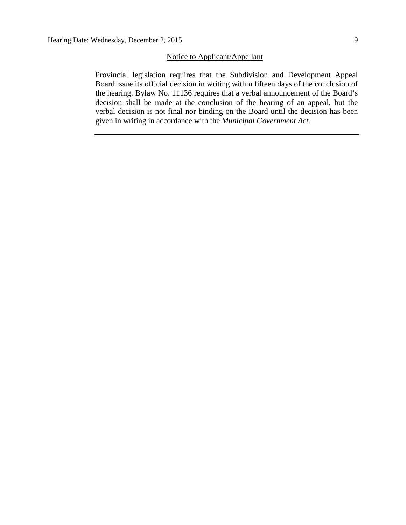## Notice to Applicant/Appellant

Provincial legislation requires that the Subdivision and Development Appeal Board issue its official decision in writing within fifteen days of the conclusion of the hearing. Bylaw No. 11136 requires that a verbal announcement of the Board's decision shall be made at the conclusion of the hearing of an appeal, but the verbal decision is not final nor binding on the Board until the decision has been given in writing in accordance with the *Municipal Government Act.*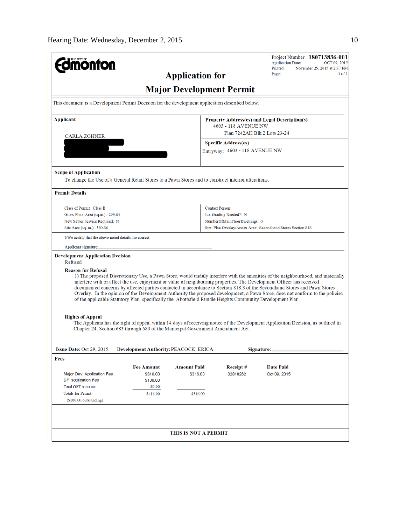| <b>mönton</b>                                                                                                                          |                    |                                 |                                                               | Project Number: 180713836-001<br><b>Application Date:</b><br>OCT 09, 2015<br>Printed:<br>November 25, 2015 at 2:37 PM                                                                                                                                                                                                                                                                                                                                                                                                  |
|----------------------------------------------------------------------------------------------------------------------------------------|--------------------|---------------------------------|---------------------------------------------------------------|------------------------------------------------------------------------------------------------------------------------------------------------------------------------------------------------------------------------------------------------------------------------------------------------------------------------------------------------------------------------------------------------------------------------------------------------------------------------------------------------------------------------|
|                                                                                                                                        |                    | <b>Application for</b>          |                                                               | $1$ of $1$<br>Page:                                                                                                                                                                                                                                                                                                                                                                                                                                                                                                    |
|                                                                                                                                        |                    | <b>Major Development Permit</b> |                                                               |                                                                                                                                                                                                                                                                                                                                                                                                                                                                                                                        |
| This document is a Development Permit Decision for the development application described below.                                        |                    |                                 |                                                               |                                                                                                                                                                                                                                                                                                                                                                                                                                                                                                                        |
| <b>Applicant</b>                                                                                                                       |                    |                                 |                                                               | Property Address(es) and Legal Description(s)                                                                                                                                                                                                                                                                                                                                                                                                                                                                          |
|                                                                                                                                        |                    |                                 | 4603 - 118 AVENUE NW                                          | Plan 7242AH Blk 2 Lots 23-24                                                                                                                                                                                                                                                                                                                                                                                                                                                                                           |
| CARLA ZOHNER                                                                                                                           |                    |                                 |                                                               |                                                                                                                                                                                                                                                                                                                                                                                                                                                                                                                        |
|                                                                                                                                        |                    |                                 | <b>Specific Address(es)</b><br>Entryway: 4603 - 118 AVENUE NW |                                                                                                                                                                                                                                                                                                                                                                                                                                                                                                                        |
| <b>Scope of Application</b><br>To change the Use of a General Retail Stores to a Pawn Stores and to construct interior alterations.    |                    |                                 |                                                               |                                                                                                                                                                                                                                                                                                                                                                                                                                                                                                                        |
| <b>Permit Details</b>                                                                                                                  |                    |                                 |                                                               |                                                                                                                                                                                                                                                                                                                                                                                                                                                                                                                        |
| Class of Permit: Class B                                                                                                               |                    |                                 | <b>Contact Person:</b>                                        |                                                                                                                                                                                                                                                                                                                                                                                                                                                                                                                        |
| Gross Floor Area (sq.m.): 299.04                                                                                                       |                    |                                 | Lot Grading Needed?: N                                        |                                                                                                                                                                                                                                                                                                                                                                                                                                                                                                                        |
| New Sewer Service Required: N                                                                                                          |                    |                                 | NumberOfMainFloorDwellings: 0                                 |                                                                                                                                                                                                                                                                                                                                                                                                                                                                                                                        |
| Site Area (sq. m.): 580.66                                                                                                             |                    |                                 |                                                               | Stat. Plan Overlay/Annex Area: Secondhand Stores Section 818                                                                                                                                                                                                                                                                                                                                                                                                                                                           |
| I/We certify that the above noted details are correct.                                                                                 |                    |                                 |                                                               |                                                                                                                                                                                                                                                                                                                                                                                                                                                                                                                        |
| Applicant signature:                                                                                                                   |                    |                                 |                                                               |                                                                                                                                                                                                                                                                                                                                                                                                                                                                                                                        |
| <b>Development Application Decision</b><br>Refused                                                                                     |                    |                                 |                                                               |                                                                                                                                                                                                                                                                                                                                                                                                                                                                                                                        |
| <b>Reason for Refusal</b><br>of the applicable Statutory Plan, specifically the Abottsfield Rundle Heights Community Development Plan. |                    |                                 |                                                               | 1) The proposed Discretionary Use, a Pawn Store, would unduly interfere with the amenities of the neighbourhood, and materially<br>interfere with or affect the use, enjoyment or value of neighbouring properties. The Development Officer has received<br>documented concerns by affected parties contacted in accordance to Section 818.3 of the Secondhand Stores and Pawn Stores<br>Overlay. In the opinion of the Development Authority the proposed development, a Pawn Store, does not conform to the policies |
| <b>Rights of Appeal</b><br>Chapter 24, Section 683 through 689 of the Municipal Government Amendment Act.                              |                    |                                 |                                                               | The Applicant has the right of appeal within 14 days of receiving notice of the Development Application Decision, as outlined in                                                                                                                                                                                                                                                                                                                                                                                       |
| Issue Date: Oct 29, 2015 Development Authority: PEACOCK, ERICA                                                                         |                    |                                 |                                                               | Signature:                                                                                                                                                                                                                                                                                                                                                                                                                                                                                                             |
| Fees                                                                                                                                   |                    |                                 |                                                               |                                                                                                                                                                                                                                                                                                                                                                                                                                                                                                                        |
|                                                                                                                                        | <b>Fee Amount</b>  | <b>Amount Paid</b>              | Receipt#                                                      | <b>Date Paid</b>                                                                                                                                                                                                                                                                                                                                                                                                                                                                                                       |
| Major Dev. Application Fee                                                                                                             | \$316.00           | \$316.00                        | 02810262                                                      | Oct 09, 2015                                                                                                                                                                                                                                                                                                                                                                                                                                                                                                           |
| <b>DP Notification Fee</b><br><b>Total GST Amount:</b>                                                                                 | \$100.00<br>\$0.00 |                                 |                                                               |                                                                                                                                                                                                                                                                                                                                                                                                                                                                                                                        |
| <b>Totals for Permit:</b>                                                                                                              | \$416.00           | \$316.00                        |                                                               |                                                                                                                                                                                                                                                                                                                                                                                                                                                                                                                        |
| (\$100.00 outstanding)                                                                                                                 |                    |                                 |                                                               |                                                                                                                                                                                                                                                                                                                                                                                                                                                                                                                        |
|                                                                                                                                        |                    |                                 |                                                               |                                                                                                                                                                                                                                                                                                                                                                                                                                                                                                                        |
|                                                                                                                                        |                    | <b>THIS IS NOT A PERMIT</b>     |                                                               |                                                                                                                                                                                                                                                                                                                                                                                                                                                                                                                        |
|                                                                                                                                        |                    |                                 |                                                               |                                                                                                                                                                                                                                                                                                                                                                                                                                                                                                                        |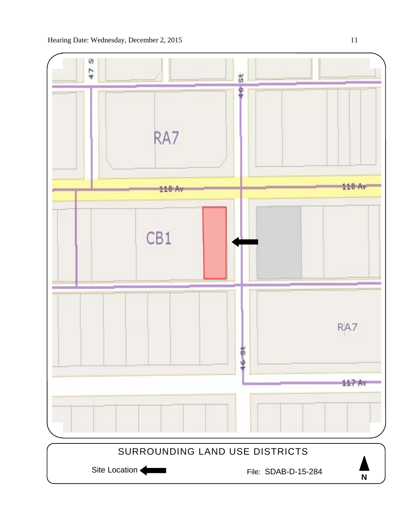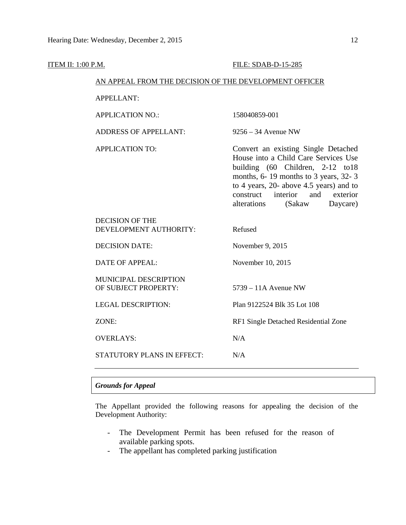| <b>ITEM II: 1:00 P.M.</b> |                                                        | FILE: SDAB-D-15-285                                                                                                                                                                                                                                                                 |
|---------------------------|--------------------------------------------------------|-------------------------------------------------------------------------------------------------------------------------------------------------------------------------------------------------------------------------------------------------------------------------------------|
|                           | AN APPEAL FROM THE DECISION OF THE DEVELOPMENT OFFICER |                                                                                                                                                                                                                                                                                     |
|                           | <b>APPELLANT:</b>                                      |                                                                                                                                                                                                                                                                                     |
|                           | <b>APPLICATION NO.:</b>                                | 158040859-001                                                                                                                                                                                                                                                                       |
|                           | <b>ADDRESS OF APPELLANT:</b>                           | $9256 - 34$ Avenue NW                                                                                                                                                                                                                                                               |
|                           | <b>APPLICATION TO:</b>                                 | Convert an existing Single Detached<br>House into a Child Care Services Use<br>building (60 Children, 2-12 to18<br>months, 6-19 months to 3 years, 32-3<br>to 4 years, 20- above 4.5 years) and to<br>interior<br>and<br>construct<br>exterior<br>alterations<br>(Sakaw<br>Daycare) |
|                           | <b>DECISION OF THE</b><br>DEVELOPMENT AUTHORITY:       | Refused                                                                                                                                                                                                                                                                             |
|                           | <b>DECISION DATE:</b>                                  | November 9, 2015                                                                                                                                                                                                                                                                    |
|                           | <b>DATE OF APPEAL:</b>                                 | November 10, 2015                                                                                                                                                                                                                                                                   |
|                           | MUNICIPAL DESCRIPTION<br>OF SUBJECT PROPERTY:          | $5739 - 11A$ Avenue NW                                                                                                                                                                                                                                                              |
|                           | <b>LEGAL DESCRIPTION:</b>                              | Plan 9122524 Blk 35 Lot 108                                                                                                                                                                                                                                                         |
|                           | ZONE:                                                  | RF1 Single Detached Residential Zone                                                                                                                                                                                                                                                |
|                           | <b>OVERLAYS:</b>                                       | N/A                                                                                                                                                                                                                                                                                 |
|                           | <b>STATUTORY PLANS IN EFFECT:</b>                      | N/A                                                                                                                                                                                                                                                                                 |

## *Grounds for Appeal*

The Appellant provided the following reasons for appealing the decision of the Development Authority:

- The Development Permit has been refused for the reason of available parking spots.
- The appellant has completed parking justification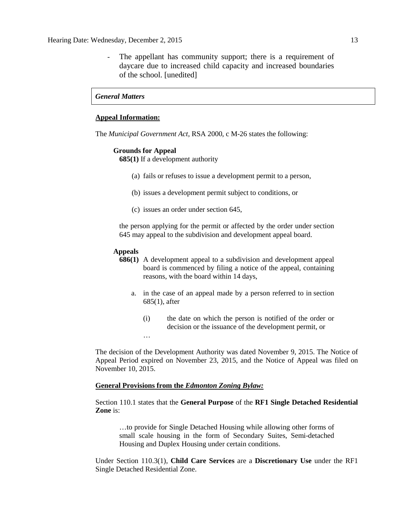The appellant has community support; there is a requirement of daycare due to increased child capacity and increased boundaries of the school. [unedited]

## *General Matters*

### **Appeal Information:**

The *Municipal Government Act*, RSA 2000, c M-26 states the following:

#### **Grounds for Appeal**

**685(1)** If a development authority

- (a) fails or refuses to issue a development permit to a person,
- (b) issues a development permit subject to conditions, or
- (c) issues an order under section 645,

the person applying for the permit or affected by the order under section 645 may appeal to the subdivision and development appeal board.

#### **Appeals**

…

- **686(1)** A development appeal to a subdivision and development appeal board is commenced by filing a notice of the appeal, containing reasons, with the board within 14 days,
	- a. in the case of an appeal made by a person referred to in section 685(1), after
		- (i) the date on which the person is notified of the order or decision or the issuance of the development permit, or

The decision of the Development Authority was dated November 9, 2015. The Notice of Appeal Period expired on November 23, 2015, and the Notice of Appeal was filed on November 10, 2015.

### **General Provisions from the** *Edmonton Zoning Bylaw:*

Section 110.1 states that the **General Purpose** of the **RF1 Single Detached Residential Zone** is:

…to provide for Single Detached Housing while allowing other forms of small scale housing in the form of Secondary Suites, Semi-detached Housing and Duplex Housing under certain conditions.

Under Section 110.3(1), **Child Care Services** are a **Discretionary Use** under the RF1 Single Detached Residential Zone.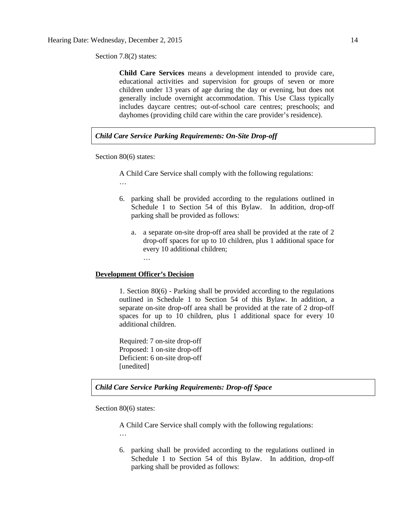Section 7.8(2) states:

**Child Care Services** means a development intended to provide care, educational activities and supervision for groups of seven or more children under 13 years of age during the day or evening, but does not generally include overnight accommodation. This Use Class typically includes daycare centres; out-of-school care centres; preschools; and dayhomes (providing child care within the care provider's residence).

## *Child Care Service Parking Requirements: On-Site Drop-off*

Section 80(6) states:

A Child Care Service shall comply with the following regulations:

…

- 6. parking shall be provided according to the regulations outlined in Schedule 1 to Section 54 of this Bylaw. In addition, drop-off parking shall be provided as follows:
	- a. a separate on-site drop-off area shall be provided at the rate of 2 drop-off spaces for up to 10 children, plus 1 additional space for every 10 additional children;

#### **Development Officer's Decision**

…

1. Section 80(6) - Parking shall be provided according to the regulations outlined in Schedule 1 to Section 54 of this Bylaw. In addition, a separate on-site drop-off area shall be provided at the rate of 2 drop-off spaces for up to 10 children, plus 1 additional space for every 10 additional children.

Required: 7 on-site drop-off Proposed: 1 on-site drop-off Deficient: 6 on-site drop-off [unedited]

*Child Care Service Parking Requirements: Drop-off Space* 

Section 80(6) states:

A Child Care Service shall comply with the following regulations:

…

6. parking shall be provided according to the regulations outlined in Schedule 1 to Section 54 of this Bylaw. In addition, drop-off parking shall be provided as follows: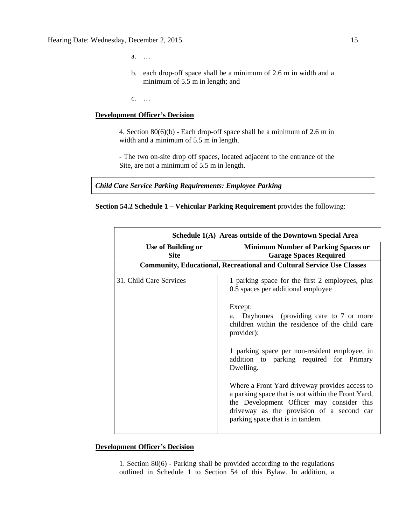a. …

b. each drop-off space shall be a minimum of 2.6 m in width and a minimum of 5.5 m in length; and

c. …

## **Development Officer's Decision**

4. Section 80(6)(b) - Each drop-off space shall be a minimum of 2.6 m in width and a minimum of 5.5 m in length.

- The two on-site drop off spaces, located adjacent to the entrance of the Site, are not a minimum of 5.5 m in length.

*Child Care Service Parking Requirements: Employee Parking* 



|                                          | Schedule 1(A) Areas outside of the Downtown Special Area                                                                                                                                                                           |
|------------------------------------------|------------------------------------------------------------------------------------------------------------------------------------------------------------------------------------------------------------------------------------|
| <b>Use of Building or</b><br><b>Site</b> | <b>Minimum Number of Parking Spaces or</b><br><b>Garage Spaces Required</b>                                                                                                                                                        |
|                                          | <b>Community, Educational, Recreational and Cultural Service Use Classes</b>                                                                                                                                                       |
| 31. Child Care Services                  | 1 parking space for the first 2 employees, plus<br>0.5 spaces per additional employee                                                                                                                                              |
|                                          | Except:<br>Dayhomes (providing care to 7 or more<br>a.<br>children within the residence of the child care<br>provider):                                                                                                            |
|                                          | 1 parking space per non-resident employee, in<br>addition to parking required for Primary<br>Dwelling.                                                                                                                             |
|                                          | Where a Front Yard driveway provides access to<br>a parking space that is not within the Front Yard,<br>the Development Officer may consider this<br>driveway as the provision of a second car<br>parking space that is in tandem. |

## **Development Officer's Decision**

1. Section 80(6) - Parking shall be provided according to the regulations outlined in Schedule 1 to Section 54 of this Bylaw. In addition, a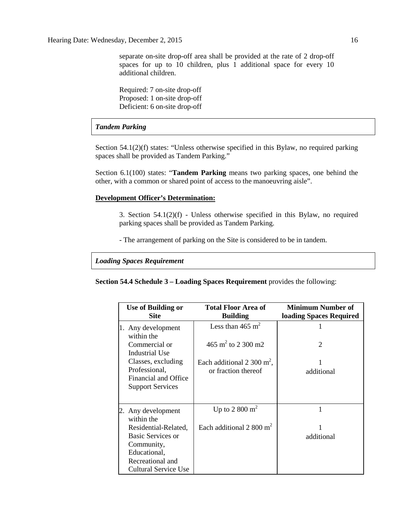separate on-site drop-off area shall be provided at the rate of 2 drop-off spaces for up to 10 children, plus 1 additional space for every 10 additional children.

Required: 7 on-site drop-off Proposed: 1 on-site drop-off Deficient: 6 on-site drop-off

## *Tandem Parking*

Section 54.1(2)(f) states: "Unless otherwise specified in this Bylaw, no required parking spaces shall be provided as Tandem Parking."

Section 6.1(100) states: "**Tandem Parking** means two parking spaces, one behind the other, with a common or shared point of access to the manoeuvring aisle".

#### **Development Officer's Determination:**

3. Section 54.1(2)(f) - Unless otherwise specified in this Bylaw, no required parking spaces shall be provided as Tandem Parking.

- The arrangement of parking on the Site is considered to be in tandem.

*Loading Spaces Requirement* 

**Section 54.4 Schedule 3 – Loading Spaces Requirement** provides the following:

| <b>Use of Building or</b><br><b>Site</b>        | <b>Total Floor Area of</b><br><b>Building</b>        | Minimum Number of<br>loading Spaces Required |
|-------------------------------------------------|------------------------------------------------------|----------------------------------------------|
| 1. Any development<br>within the                | Less than 465 $m2$                                   |                                              |
| Commercial or<br>Industrial Use                 | 465 m <sup>2</sup> to 2 300 m2                       | $\mathcal{D}_{\mathcal{L}}$                  |
| Classes, excluding<br>Professional,             | Each additional 2 300 $m^2$ ,<br>or fraction thereof | additional                                   |
| Financial and Office<br><b>Support Services</b> |                                                      |                                              |
| 2. Any development<br>within the                | Up to 2 800 $m2$                                     | 1                                            |
| Residential-Related,<br>Basic Services or       | Each additional 2 800 $m2$                           | additional                                   |
| Community,<br>Educational,                      |                                                      |                                              |
| Recreational and<br>Cultural Service Use        |                                                      |                                              |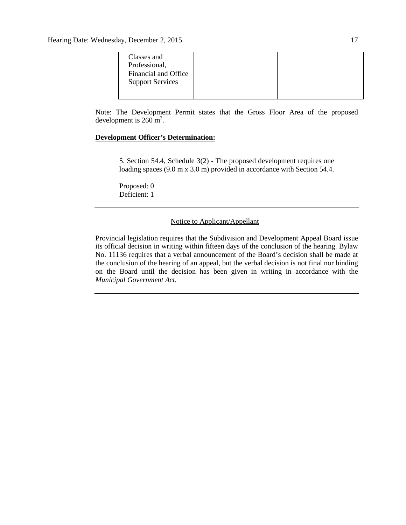| Classes and<br>Professional,<br>Financial and Office<br><b>Support Services</b> |  |
|---------------------------------------------------------------------------------|--|
|                                                                                 |  |

Note: The Development Permit states that the Gross Floor Area of the proposed development is  $260 \text{ m}^2$ .

## **Development Officer's Determination:**

5. Section 54.4, Schedule 3(2) - The proposed development requires one loading spaces (9.0 m x 3.0 m) provided in accordance with Section 54.4.

Proposed: 0 Deficient: 1

## Notice to Applicant/Appellant

Provincial legislation requires that the Subdivision and Development Appeal Board issue its official decision in writing within fifteen days of the conclusion of the hearing. Bylaw No. 11136 requires that a verbal announcement of the Board's decision shall be made at the conclusion of the hearing of an appeal, but the verbal decision is not final nor binding on the Board until the decision has been given in writing in accordance with the *Municipal Government Act.*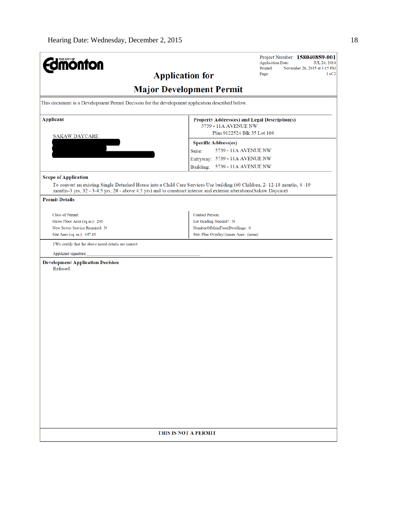| November 26, 2015 at 3:15 PM<br>Page:<br>$1$ of $2$<br><b>Application for</b>                                                                                                                                                                  |  |  |  |
|------------------------------------------------------------------------------------------------------------------------------------------------------------------------------------------------------------------------------------------------|--|--|--|
|                                                                                                                                                                                                                                                |  |  |  |
| <b>Major Development Permit</b>                                                                                                                                                                                                                |  |  |  |
| This document is a Development Permit Decision for the development application described below.                                                                                                                                                |  |  |  |
| Property Address(es) and Legal Description(s)                                                                                                                                                                                                  |  |  |  |
| 5739 - 11A AVENUE NW<br>Plan 9122524 Blk 35 Lot 108                                                                                                                                                                                            |  |  |  |
| <b>Specific Address(es)</b>                                                                                                                                                                                                                    |  |  |  |
| 5739 - 11A AVENUE NW<br>Suite:                                                                                                                                                                                                                 |  |  |  |
| Entryway: 5739 - 11A AVENUE NW                                                                                                                                                                                                                 |  |  |  |
| Building: 5739 - 11A AVENUE NW                                                                                                                                                                                                                 |  |  |  |
|                                                                                                                                                                                                                                                |  |  |  |
| To convert an existing Single Detached House into a Child Care Services Use building (60 Children, 2-12-18 months, 6-19<br>months-3 yrs, 32 - 3-4.5 yrs, 20 - above 4.5 yrs) and to construct interior and exterior alterations(Sakaw Daycare) |  |  |  |
|                                                                                                                                                                                                                                                |  |  |  |
| <b>Contact Person:</b>                                                                                                                                                                                                                         |  |  |  |
| Lot Grading Needed?: N                                                                                                                                                                                                                         |  |  |  |
| NumberOfMainFloorDwellings: 0                                                                                                                                                                                                                  |  |  |  |
| Stat. Plan Overlay/Annex Area: (none)                                                                                                                                                                                                          |  |  |  |
|                                                                                                                                                                                                                                                |  |  |  |
|                                                                                                                                                                                                                                                |  |  |  |
|                                                                                                                                                                                                                                                |  |  |  |
| THIS IS NOT A PERMIT                                                                                                                                                                                                                           |  |  |  |
|                                                                                                                                                                                                                                                |  |  |  |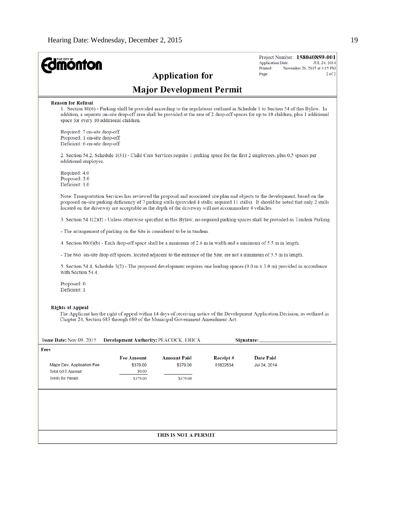| THE CITY OF<br><b>nonton</b>                                                                  |                                       |                                                                                                      |          | Project Number: 158040859-001<br><b>Application Date:</b><br>JUL 24, 2014                                                                                                                                                                                                  |
|-----------------------------------------------------------------------------------------------|---------------------------------------|------------------------------------------------------------------------------------------------------|----------|----------------------------------------------------------------------------------------------------------------------------------------------------------------------------------------------------------------------------------------------------------------------------|
|                                                                                               |                                       |                                                                                                      |          | Printed:<br>November 26, 2015 at 3:15 PM<br>$2$ of $2$<br>Page:                                                                                                                                                                                                            |
|                                                                                               |                                       | <b>Application for</b>                                                                               |          |                                                                                                                                                                                                                                                                            |
|                                                                                               |                                       | <b>Major Development Permit</b>                                                                      |          |                                                                                                                                                                                                                                                                            |
| <b>Reason for Refusal</b><br>space for every 10 additional children.                          |                                       |                                                                                                      |          | 1. Section 80(6) - Parking shall be provided according to the regulations outlined in Schedule 1 to Section 54 of this Bylaw. In<br>addition, a separate on-site drop-off area shall be provided at the rate of 2 drop-off spaces for up to 10 children, plus 1 additional |
| Required: 7 on-site drop-off<br>Proposed: 1 on-site drop-off<br>Deficient: 6 on-site drop-off |                                       |                                                                                                      |          |                                                                                                                                                                                                                                                                            |
| additional employee.                                                                          |                                       |                                                                                                      |          | 2. Section 54.2, Schedule 1(31) - Child Care Services require 1 parking space for the first 2 employees, plus 0.5 spaces per                                                                                                                                               |
| Required: 4.0<br>Proposed: 3.0<br>Deficient: 1.0                                              |                                       |                                                                                                      |          |                                                                                                                                                                                                                                                                            |
|                                                                                               |                                       | located on the driveway are acceptable as the depth of the driveway will not accommodate 4 vehicles. |          | Note: Transportation Services has reviewed the proposal and associated site plan and objects to the development, based on the<br>proposed on-site parking deficiency of 7 parking stalls (provided 4 stalls; required 11 stalls). It should be noted that only 2 stalls    |
|                                                                                               |                                       |                                                                                                      |          | 3. Section 54.1(2)(f) - Unless otherwise specified in this Bylaw, no required parking spaces shall be provided as Tandem Parking.                                                                                                                                          |
|                                                                                               |                                       | - The arrangement of parking on the Site is considered to be in tandem.                              |          |                                                                                                                                                                                                                                                                            |
|                                                                                               |                                       |                                                                                                      |          | 4. Section $80(6)(b)$ - Each drop-off space shall be a minimum of 2.6 m in width and a minimum of 5.5 m in length.                                                                                                                                                         |
|                                                                                               |                                       |                                                                                                      |          | - The two on-site drop off spaces, located adjacent to the entrance of the Site, are not a minimum of 5.5 m in length.                                                                                                                                                     |
| with Section 54.4.                                                                            |                                       |                                                                                                      |          | 5. Section 54.4, Schedule $3(2)$ - The proposed development requires one loading spaces (9.0 m x 3.0 m) provided in accordance                                                                                                                                             |
| Proposed: 0<br>Deficient: 1                                                                   |                                       |                                                                                                      |          |                                                                                                                                                                                                                                                                            |
| <b>Rights of Appeal</b><br>Issue Date: Nov 09, 2015                                           | Development Authority: PEACOCK, ERICA | Chapter 24, Section 683 through 689 of the Municipal Government Amendment Act.                       |          | The Applicant has the right of appeal within 14 days of receiving notice of the Development Application Decision, as outlined in<br>Signature:                                                                                                                             |
| Fees                                                                                          |                                       |                                                                                                      |          |                                                                                                                                                                                                                                                                            |
|                                                                                               | <b>Fee Amount</b>                     | <b>Amount Paid</b>                                                                                   | Receipt# | <b>Date Paid</b>                                                                                                                                                                                                                                                           |
| Major Dev. Application Fee                                                                    | \$379.00                              | \$379.00                                                                                             | 01822534 | Jul 24, 2014                                                                                                                                                                                                                                                               |
| <b>Total GST Amount:</b><br><b>Totals for Permit:</b>                                         | \$0.00                                |                                                                                                      |          |                                                                                                                                                                                                                                                                            |
|                                                                                               | \$379.00                              | \$379.00                                                                                             |          |                                                                                                                                                                                                                                                                            |
|                                                                                               |                                       |                                                                                                      |          |                                                                                                                                                                                                                                                                            |
|                                                                                               |                                       |                                                                                                      |          |                                                                                                                                                                                                                                                                            |
|                                                                                               |                                       |                                                                                                      |          |                                                                                                                                                                                                                                                                            |
|                                                                                               |                                       |                                                                                                      |          |                                                                                                                                                                                                                                                                            |
|                                                                                               |                                       | THIS IS NOT A PERMIT                                                                                 |          |                                                                                                                                                                                                                                                                            |
|                                                                                               |                                       |                                                                                                      |          |                                                                                                                                                                                                                                                                            |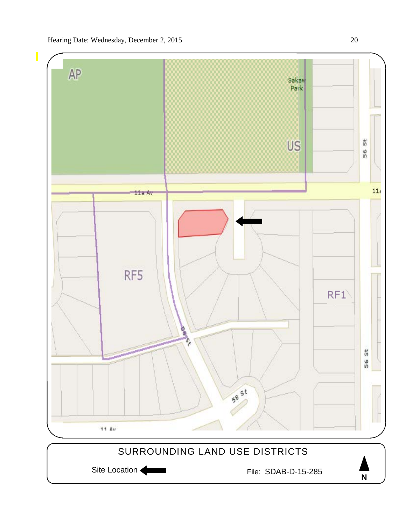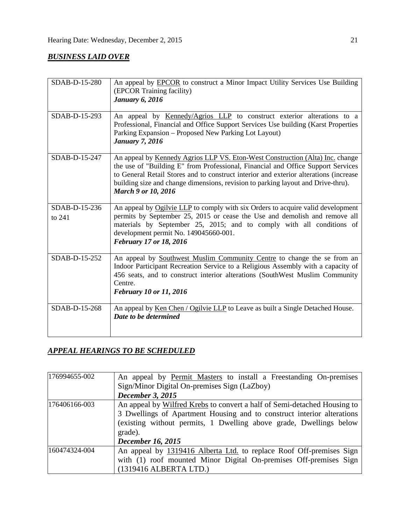## *BUSINESS LAID OVER*

| SDAB-D-15-280           | An appeal by <b>EPCOR</b> to construct a Minor Impact Utility Services Use Building<br>(EPCOR Training facility)<br><b>January 6, 2016</b>                                                                                                                                                                                                                                          |
|-------------------------|-------------------------------------------------------------------------------------------------------------------------------------------------------------------------------------------------------------------------------------------------------------------------------------------------------------------------------------------------------------------------------------|
| SDAB-D-15-293           | An appeal by Kennedy/Agrios LLP to construct exterior alterations to a<br>Professional, Financial and Office Support Services Use building (Karst Properties<br>Parking Expansion – Proposed New Parking Lot Layout)<br><b>January 7, 2016</b>                                                                                                                                      |
| SDAB-D-15-247           | An appeal by <u>Kennedy Agrios LLP VS. Eton-West Construction (Alta) Inc.</u> change<br>the use of "Building E" from Professional, Financial and Office Support Services<br>to General Retail Stores and to construct interior and exterior alterations (increase<br>building size and change dimensions, revision to parking layout and Drive-thru).<br><b>March 9 or 10, 2016</b> |
| SDAB-D-15-236<br>to 241 | An appeal by Ogilvie LLP to comply with six Orders to acquire valid development<br>permits by September 25, 2015 or cease the Use and demolish and remove all<br>materials by September 25, 2015; and to comply with all conditions of<br>development permit No. 149045660-001.<br>February 17 or 18, 2016                                                                          |
| SDAB-D-15-252           | An appeal by Southwest Muslim Community Centre to change the se from an<br>Indoor Participant Recreation Service to a Religious Assembly with a capacity of<br>456 seats, and to construct interior alterations (SouthWest Muslim Community<br>Centre.<br>February 10 or 11, 2016                                                                                                   |
| SDAB-D-15-268           | An appeal by Ken Chen / Ogilvie LLP to Leave as built a Single Detached House.<br>Date to be determined                                                                                                                                                                                                                                                                             |

## *APPEAL HEARINGS TO BE SCHEDULED*

| 176994655-002 | An appeal by Permit Masters to install a Freestanding On-premises<br>Sign/Minor Digital On-premises Sign (LaZboy)                                                                                                                                               |  |  |  |
|---------------|-----------------------------------------------------------------------------------------------------------------------------------------------------------------------------------------------------------------------------------------------------------------|--|--|--|
|               | <b>December 3, 2015</b>                                                                                                                                                                                                                                         |  |  |  |
| 176406166-003 | An appeal by Wilfred Krebs to convert a half of Semi-detached Housing to<br>3 Dwellings of Apartment Housing and to construct interior alterations<br>(existing without permits, 1 Dwelling above grade, Dwellings below<br>grade).<br><b>December 16, 2015</b> |  |  |  |
| 160474324-004 | An appeal by 1319416 Alberta Ltd. to replace Roof Off-premises Sign<br>with (1) roof mounted Minor Digital On-premises Off-premises Sign<br>(1319416 ALBERTA LTD.)                                                                                              |  |  |  |